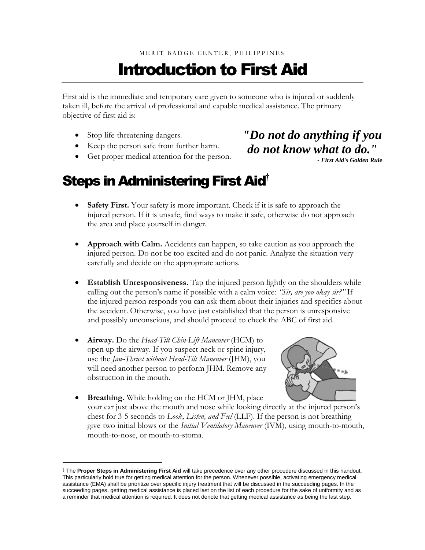# Introduction to First Aid

First aid is the immediate and temporary care given to someone who is injured or suddenly taken ill, before the arrival of professional and capable medical assistance. The primary objective of first aid is:

- Stop life-threatening dangers.
- Keep the person safe from further harm.
- Get proper medical attention for the person.

# *"Do not do anything if you do not know what to do."*

*- First Aid's Golden Rule*

# Steps in Administering First Aid**†**

- **Safety First.** Your safety is more important. Check if it is safe to approach the injured person. If it is unsafe, find ways to make it safe, otherwise do not approach the area and place yourself in danger.
- **Approach with Calm.** Accidents can happen, so take caution as you approach the injured person. Do not be too excited and do not panic. Analyze the situation very carefully and decide on the appropriate actions.
- **Establish Unresponsiveness.** Tap the injured person lightly on the shoulders while calling out the person's name if possible with a calm voice: *"Sir, are you okay sir?"* If the injured person responds you can ask them about their injuries and specifics about the accident. Otherwise, you have just established that the person is unresponsive and possibly unconscious, and should proceed to check the ABC of first aid.
- **Airway.** Do the *Head-Tilt Chin-Lift Maneuver* (HCM) to open up the airway. If you suspect neck or spine injury, use the *Jaw-Thrust without Head-Tilt Maneuver* (JHM), you will need another person to perform JHM. Remove any obstruction in the mouth.

 $\overline{a}$ 



 **Breathing.** While holding on the HCM or JHM, place your ear just above the mouth and nose while looking directly at the injured person's chest for 3-5 seconds to *Look, Listen, and Feel* (LLF). If the person is not breathing give two initial blows or the *Initial Ventilatory Maneuver* (IVM), using mouth-to-mouth, mouth-to-nose, or mouth-to-stoma.

<sup>†</sup> The **Proper Steps in Administering First Aid** will take precedence over any other procedure discussed in this handout. This particularly hold true for getting medical attention for the person. Whenever possible, activating emergency medical assistance (EMA) shall be prioritize over specific injury treatment that will be discussed in the succeeding pages. In the succeeding pages, getting medical assistance is placed last on the list of each procedure for the sake of uniformity and as a reminder that medical attention is required. It does not denote that getting medical assistance as being the last step.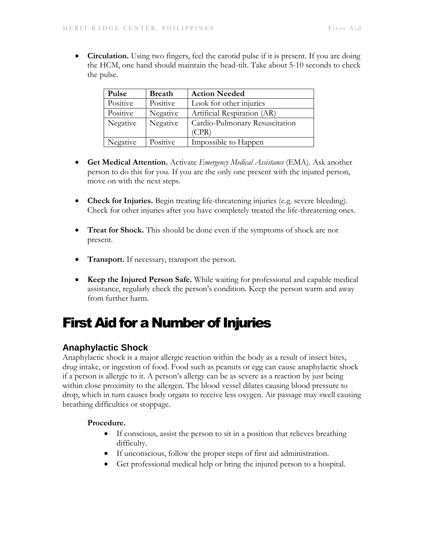**Circulation.** Using two fingers, feel the carotid pulse if it is present. If you are doing the HCM, one hand should maintain the head-tilt. Take about 5-10 seconds to check the pulse.

| Pulse    | <b>Breath</b> | <b>Action Needed</b>                    |
|----------|---------------|-----------------------------------------|
| Positive | Positive      | Look for other injuries                 |
| Positive | Negative      | Artificial Respiration (AR)             |
| Negative | Negative      | Cardio-Pulmonary Resuscitation<br>(CPR) |
| Negative | Positive      | Impossible to Happen                    |

- **Get Medical Attention.** Activate *Emergency Medical Assistance* (EMA). Ask another person to do this for you. If you are the only one present with the injured person, move on with the next steps.
- **Check for Injuries.** Begin treating life-threatening injuries (e.g. severe bleeding). Check for other injuries after you have completely treated the life-threatening ones.
- **Treat for Shock.** This should be done even if the symptoms of shock are not present.
- **Transport.** If necessary, transport the person.
- **Keep the Injured Person Safe.** While waiting for professional and capable medical assistance, regularly check the person's condition. Keep the person warm and away from further harm.

# First Aid for a Number of Injuries

# **Anaphylactic Shock**

Anaphylactic shock is a major allergic reaction within the body as a result of insect bites, drug intake, or ingestion of food. Food such as peanuts or egg can cause anaphylactic shock if a person is allergic to it. A person's allergy can be as severe as a reaction by just being within close proximity to the allergen. The blood vessel dilates causing blood pressure to drop, which in turn causes body organs to receive less oxygen. Air passage may swell causing breathing difficulties or stoppage.

# **Procedure.**

- If conscious, assist the person to sit in a position that relieves breathing difficulty.
- If unconscious, follow the proper steps of first aid administration.
- Get professional medical help or bring the injured person to a hospital.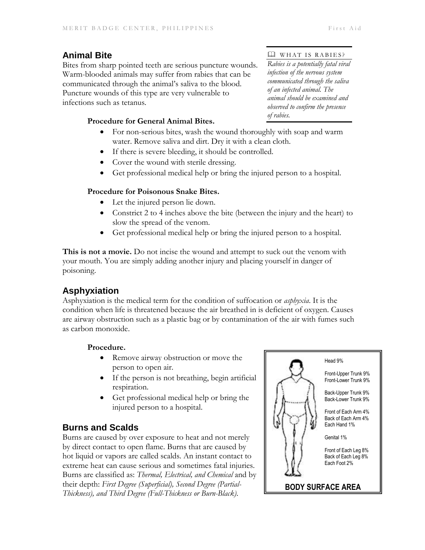# **Animal Bite**

Bites from sharp pointed teeth are serious puncture wounds. Warm-blooded animals may suffer from rabies that can be communicated through the animal's saliva to the blood. Puncture wounds of this type are very vulnerable to infections such as tetanus.

#### **Procedure for General Animal Bites.**

- For non-serious bites, wash the wound thoroughly with soap and warm water. Remove saliva and dirt. Dry it with a clean cloth.
- If there is severe bleeding, it should be controlled.
- Cover the wound with sterile dressing.
- Get professional medical help or bring the injured person to a hospital.

# **Procedure for Poisonous Snake Bites.**

- Let the injured person lie down.
- Constrict 2 to 4 inches above the bite (between the injury and the heart) to slow the spread of the venom.
- Get professional medical help or bring the injured person to a hospital.

**This is not a movie.** Do not incise the wound and attempt to suck out the venom with your mouth. You are simply adding another injury and placing yourself in danger of poisoning.

# **Asphyxiation**

Asphyxiation is the medical term for the condition of suffocation or *asphyxia*. It is the condition when life is threatened because the air breathed in is deficient of oxygen. Causes are airway obstruction such as a plastic bag or by contamination of the air with fumes such as carbon monoxide.

# **Procedure.**

- Remove airway obstruction or move the person to open air.
- If the person is not breathing, begin artificial respiration.
- Get professional medical help or bring the injured person to a hospital.

# **Burns and Scalds**

Burns are caused by over exposure to heat and not merely by direct contact to open flame. Burns that are caused by hot liquid or vapors are called scalds. An instant contact to extreme heat can cause serious and sometimes fatal injuries. Burns are classified as: *Thermal, Electrical, and Chemical* and by their depth: *First Degree (Superficial), Second Degree (Partial-Thickness), and Third Degree (Full-Thickness or Burn-Black)*.



#### WHAT IS RABIES?

*Rabies is a potentially fatal viral infection of the nervous system communicated through the saliva of an infected animal. The animal should be examined and observed to confirm the presence of rabies.*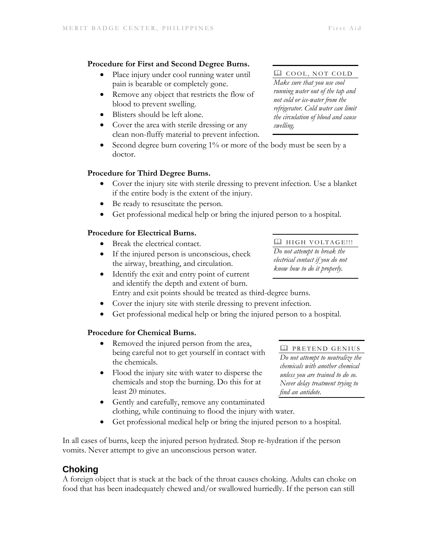#### **Procedure for First and Second Degree Burns.**

- Place injury under cool running water until pain is bearable or completely gone.
- Remove any object that restricts the flow of blood to prevent swelling.
- Blisters should be left alone.
- Cover the area with sterile dressing or any clean non-fluffy material to prevent infection.
- Second degree burn covering 1% or more of the body must be seen by a doctor.

# **Procedure for Third Degree Burns.**

- Cover the injury site with sterile dressing to prevent infection. Use a blanket if the entire body is the extent of the injury.
- Be ready to resuscitate the person.
- Get professional medical help or bring the injured person to a hospital.

# **Procedure for Electrical Burns.**

- Break the electrical contact.
- If the injured person is unconscious, check the airway, breathing, and circulation.
- Identify the exit and entry point of current and identify the depth and extent of burn. Entry and exit points should be treated as third-degree burns.
- Cover the injury site with sterile dressing to prevent infection.
- Get professional medical help or bring the injured person to a hospital.

# **Procedure for Chemical Burns.**

- Removed the injured person from the area, being careful not to get yourself in contact with the chemicals.
- Flood the injury site with water to disperse the chemicals and stop the burning. Do this for at least 20 minutes.
- Gently and carefully, remove any contaminated clothing, while continuing to flood the injury with water.
- Get professional medical help or bring the injured person to a hospital.

In all cases of burns, keep the injured person hydrated. Stop re-hydration if the person vomits. Never attempt to give an unconscious person water.

# **Choking**

A foreign object that is stuck at the back of the throat causes choking. Adults can choke on food that has been inadequately chewed and/or swallowed hurriedly. If the person can still

#### $\boxplus$  COOL, NOT COLD

*Make sure that you use cool running water out of the tap and not cold or ice-water from the refrigerator. Cold water can limit the circulation of blood and cause swelling.*

**PRETEND GENIUS** *Do not attempt to neutralize the chemicals with another chemical unless you are trained to do so. Never delay treatment trying to find an antidote.*

# **HE HIGH VOLTAGE!!!**

*Do not attempt to break the electrical contact if you do not know how to do it properly.*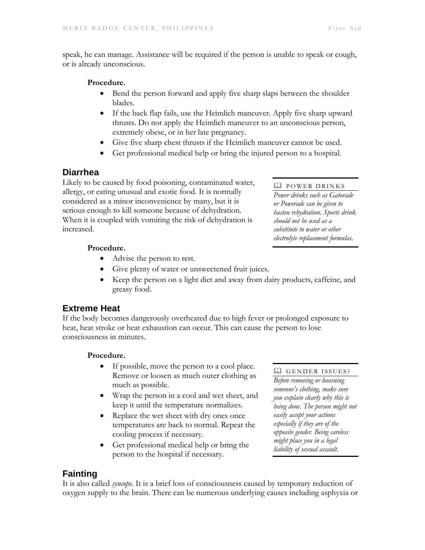speak, he can manage. Assistance will be required if the person is unable to speak or cough, or is already unconscious.

#### **Procedure.**

- Bend the person forward and apply five sharp slaps between the shoulder blades.
- If the back flap fails, use the Heimlich maneuver. Apply five sharp upward thrusts. Do not apply the Heimlich maneuver to an unconscious person, extremely obese, or in her late pregnancy.
- Give five sharp chest thrusts if the Heimlich maneuver cannot be used.
- Get professional medical help or bring the injured person to a hospital.

# **Diarrhea**

Likely to be caused by food poisoning, contaminated water, allergy, or eating unusual and exotic food. It is normally considered as a minor inconvenience by many, but it is serious enough to kill someone because of dehydration. When it is coupled with vomiting the risk of dehydration is increased.

# **Procedure.**

- Advise the person to rest.
- Give plenty of water or unsweetened fruit juices.
- Keep the person on a light diet and away from dairy products, caffeine, and greasy food.

# **Extreme Heat**

If the body becomes dangerously overheated due to high fever or prolonged exposure to heat, heat stroke or heat exhaustion can occur. This can cause the person to lose consciousness in minutes.

# **Procedure.**

- If possible, move the person to a cool place. Remove or loosen as much outer clothing as much as possible.
- Wrap the person in a cool and wet sheet, and keep it until the temperature normalizes.
- Replace the wet sheet with dry ones once temperatures are back to normal. Repeat the cooling process if necessary.
- Get professional medical help or bring the person to the hospital if necessary.

# **Q** POWER DRINKS

*Power drinks such as Gatorade or Powerade can be given to hasten rehydration. Sports drink should not be used as a substitute to water or other electrolyte replacement formulas.*

#### GENDER ISSUES?

*Before removing or loosening someone's clothing, make sure you explain clearly why this is being done. The person might not easily accept your actions especially if they are of the opposite gender. Being careless might place you in a legal liability of sexual assault.*

# **Fainting**

It is also called *syncope*. It is a brief loss of consciousness caused by temporary reduction of oxygen supply to the brain. There can be numerous underlying causes including asphyxia or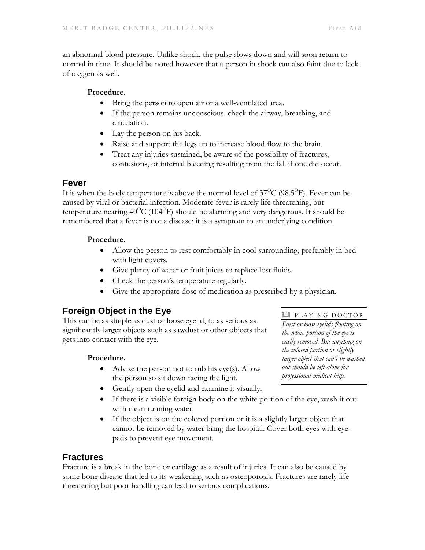an abnormal blood pressure. Unlike shock, the pulse slows down and will soon return to normal in time. It should be noted however that a person in shock can also faint due to lack of oxygen as well.

# **Procedure.**

- Bring the person to open air or a well-ventilated area.
- If the person remains unconscious, check the airway, breathing, and circulation.
- Lay the person on his back.
- Raise and support the legs up to increase blood flow to the brain.
- Treat any injuries sustained, be aware of the possibility of fractures, contusions, or internal bleeding resulting from the fall if one did occur.

# **Fever**

It is when the body temperature is above the normal level of  $37^{\circ}C$  (98.5<sup>o</sup>F). Fever can be caused by viral or bacterial infection. Moderate fever is rarely life threatening, but temperature nearing  $40^{\circ}$ C (104 $^{\circ}$ F) should be alarming and very dangerous. It should be remembered that a fever is not a disease; it is a symptom to an underlying condition.

# **Procedure.**

- Allow the person to rest comfortably in cool surrounding, preferably in bed with light covers.
- Give plenty of water or fruit juices to replace lost fluids.
- Check the person's temperature regularly.
- Give the appropriate dose of medication as prescribed by a physician.

# **Foreign Object in the Eye**

This can be as simple as dust or loose eyelid, to as serious as significantly larger objects such as sawdust or other objects that gets into contact with the eye.

# **Procedure.**

- Advise the person not to rub his eye(s). Allow the person so sit down facing the light.
- Gently open the eyelid and examine it visually.
- If there is a visible foreign body on the white portion of the eye, wash it out with clean running water.
- If the object is on the colored portion or it is a slightly larger object that cannot be removed by water bring the hospital. Cover both eyes with eyepads to prevent eye movement.

# **Fractures**

Fracture is a break in the bone or cartilage as a result of injuries. It can also be caused by some bone disease that led to its weakening such as osteoporosis. Fractures are rarely life threatening but poor handling can lead to serious complications.

#### **Q** PLAYING DOCTOR

*Dust or loose eyelids floating on the white portion of the eye is easily removed. But anything on the colored portion or slightly larger object that can't be washed out should be left alone for professional medical help.*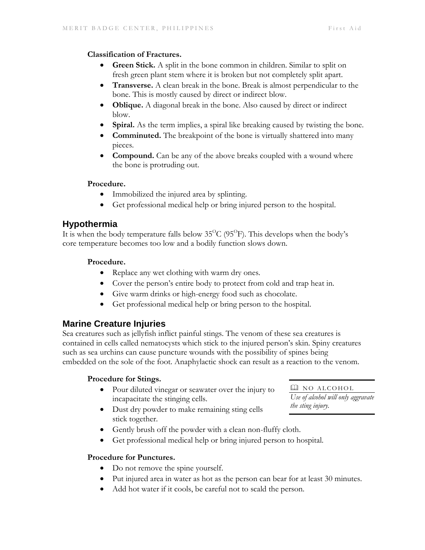#### **Classification of Fractures.**

- **Green Stick.** A split in the bone common in children. Similar to split on fresh green plant stem where it is broken but not completely split apart.
- **Transverse.** A clean break in the bone. Break is almost perpendicular to the bone. This is mostly caused by direct or indirect blow.
- **Oblique.** A diagonal break in the bone. Also caused by direct or indirect blow.
- **Spiral.** As the term implies, a spiral like breaking caused by twisting the bone.
- **Comminuted.** The breakpoint of the bone is virtually shattered into many pieces.
- **Compound.** Can be any of the above breaks coupled with a wound where the bone is protruding out.

#### **Procedure.**

- Immobilized the injured area by splinting.
- Get professional medical help or bring injured person to the hospital.

# **Hypothermia**

It is when the body temperature falls below  $35^{\circ}$ C (95<sup>o</sup>F). This develops when the body's core temperature becomes too low and a bodily function slows down.

#### **Procedure.**

- Replace any wet clothing with warm dry ones.
- Cover the person's entire body to protect from cold and trap heat in.
- Give warm drinks or high-energy food such as chocolate.
- Get professional medical help or bring person to the hospital.

# **Marine Creature Injuries**

Sea creatures such as jellyfish inflict painful stings. The venom of these sea creatures is contained in cells called nematocysts which stick to the injured person's skin. Spiny creatures such as sea urchins can cause puncture wounds with the possibility of spines being embedded on the sole of the foot. Anaphylactic shock can result as a reaction to the venom.

# **Procedure for Stings.**

- Pour diluted vinegar or seawater over the injury to incapacitate the stinging cells.
- Dust dry powder to make remaining sting cells stick together.
- Gently brush off the powder with a clean non-fluffy cloth.
- Get professional medical help or bring injured person to hospital.

# **Procedure for Punctures.**

- Do not remove the spine yourself.
- Put injured area in water as hot as the person can bear for at least 30 minutes.
- Add hot water if it cools, be careful not to scald the person.

 $\Box$  NO ALCOHOL *Use of alcohol will only aggravate the sting injury.*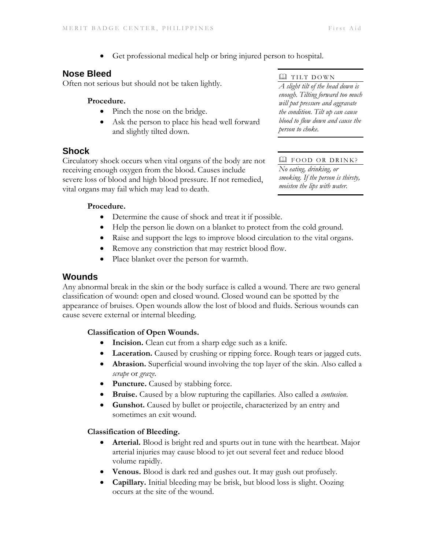Get professional medical help or bring injured person to hospital.

# **Nose Bleed**

Often not serious but should not be taken lightly.

# **Procedure.**

- Pinch the nose on the bridge.
- Ask the person to place his head well forward and slightly tilted down.

# **Shock**

Circulatory shock occurs when vital organs of the body are not receiving enough oxygen from the blood. Causes include severe loss of blood and high blood pressure. If not remedied, vital organs may fail which may lead to death.

# **Procedure.**

- Determine the cause of shock and treat it if possible.
- Help the person lie down on a blanket to protect from the cold ground.
- Raise and support the legs to improve blood circulation to the vital organs.
- Remove any constriction that may restrict blood flow.
- Place blanket over the person for warmth.

# **Wounds**

Any abnormal break in the skin or the body surface is called a wound. There are two general classification of wound: open and closed wound. Closed wound can be spotted by the appearance of bruises. Open wounds allow the lost of blood and fluids. Serious wounds can cause severe external or internal bleeding.

# **Classification of Open Wounds.**

- **Incision.** Clean cut from a sharp edge such as a knife.
- Laceration. Caused by crushing or ripping force. Rough tears or jagged cuts.
- **Abrasion.** Superficial wound involving the top layer of the skin. Also called a *scrape* or *graze*.
- **Puncture.** Caused by stabbing force.
- **Bruise.** Caused by a blow rupturing the capillaries. Also called a *contusion*.
- **Gunshot.** Caused by bullet or projectile, characterized by an entry and sometimes an exit wound.

# **Classification of Bleeding.**

- **Arterial.** Blood is bright red and spurts out in tune with the heartbeat. Major arterial injuries may cause blood to jet out several feet and reduce blood volume rapidly.
- **Venous.** Blood is dark red and gushes out. It may gush out profusely.
- **Capillary.** Initial bleeding may be brisk, but blood loss is slight. Oozing occurs at the site of the wound.

**Q** TILT DOWN

*A slight tilt of the head down is enough. Tilting forward too much will put pressure and aggravate the condition. Tilt up can cause blood to flow down and cause the person to choke.*

**E** FOOD OR DRINK? *No eating, drinking, or smoking. If the person is thirsty, moisten the lips with water.*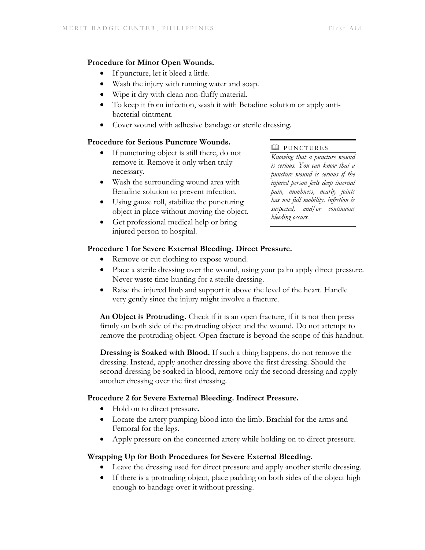# **Procedure for Minor Open Wounds.**

- If puncture, let it bleed a little.
- Wash the injury with running water and soap.
- Wipe it dry with clean non-fluffy material.
- To keep it from infection, wash it with Betadine solution or apply antibacterial ointment.
- Cover wound with adhesive bandage or sterile dressing.

#### **Procedure for Serious Puncture Wounds.**

- If puncturing object is still there, do not remove it. Remove it only when truly necessary.
- Wash the surrounding wound area with Betadine solution to prevent infection.
- Using gauze roll, stabilize the puncturing object in place without moving the object.
- Get professional medical help or bring injured person to hospital.

#### **Q** PUNCTURES

*Knowing that a puncture wound is serious. You can know that a puncture wound is serious if the injured person feels deep internal pain, numbness, nearby joints has not full mobility, infection is suspected, and/or continuous bleeding occurs.*

# **Procedure 1 for Severe External Bleeding. Direct Pressure.**

- Remove or cut clothing to expose wound.
- Place a sterile dressing over the wound, using your palm apply direct pressure. Never waste time hunting for a sterile dressing.
- Raise the injured limb and support it above the level of the heart. Handle very gently since the injury might involve a fracture.

**An Object is Protruding.** Check if it is an open fracture, if it is not then press firmly on both side of the protruding object and the wound. Do not attempt to remove the protruding object. Open fracture is beyond the scope of this handout.

**Dressing is Soaked with Blood.** If such a thing happens, do not remove the dressing. Instead, apply another dressing above the first dressing. Should the second dressing be soaked in blood, remove only the second dressing and apply another dressing over the first dressing.

#### **Procedure 2 for Severe External Bleeding. Indirect Pressure.**

- Hold on to direct pressure.
- Locate the artery pumping blood into the limb. Brachial for the arms and Femoral for the legs.
- Apply pressure on the concerned artery while holding on to direct pressure.

# **Wrapping Up for Both Procedures for Severe External Bleeding.**

- Leave the dressing used for direct pressure and apply another sterile dressing.
- If there is a protruding object, place padding on both sides of the object high enough to bandage over it without pressing.